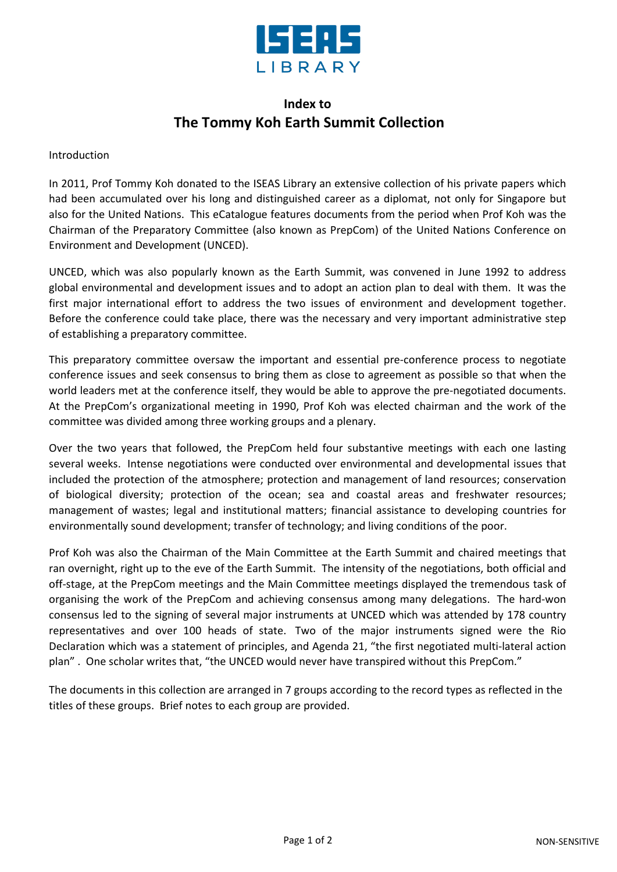

## **Index to The Tommy Koh Earth Summit Collection**

## Introduction

In 2011, Prof Tommy Koh donated to the ISEAS Library an extensive collection of his private papers which had been accumulated over his long and distinguished career as a diplomat, not only for Singapore but also for the United Nations. This eCatalogue features documents from the period when Prof Koh was the Chairman of the Preparatory Committee (also known as PrepCom) of the United Nations Conference on Environment and Development (UNCED).

UNCED, which was also popularly known as the Earth Summit, was convened in June 1992 to address global environmental and development issues and to adopt an action plan to deal with them. It was the first major international effort to address the two issues of environment and development together. Before the conference could take place, there was the necessary and very important administrative step of establishing a preparatory committee.

This preparatory committee oversaw the important and essential pre-conference process to negotiate conference issues and seek consensus to bring them as close to agreement as possible so that when the world leaders met at the conference itself, they would be able to approve the pre-negotiated documents. At the PrepCom's organizational meeting in 1990, Prof Koh was elected chairman and the work of the committee was divided among three working groups and a plenary.

Over the two years that followed, the PrepCom held four substantive meetings with each one lasting several weeks. Intense negotiations were conducted over environmental and developmental issues that included the protection of the atmosphere; protection and management of land resources; conservation of biological diversity; protection of the ocean; sea and coastal areas and freshwater resources; management of wastes; legal and institutional matters; financial assistance to developing countries for environmentally sound development; transfer of technology; and living conditions of the poor.

Prof Koh was also the Chairman of the Main Committee at the Earth Summit and chaired meetings that ran overnight, right up to the eve of the Earth Summit. The intensity of the negotiations, both official and off-stage, at the PrepCom meetings and the Main Committee meetings displayed the tremendous task of organising the work of the PrepCom and achieving consensus among many delegations. The hard-won consensus led to the signing of several major instruments at UNCED which was attended by 178 country representatives and over 100 heads of state. Two of the major instruments signed were the Rio Declaration which was a statement of principles, and Agenda 21, "the first negotiated multi-lateral action plan" . One scholar writes that, "the UNCED would never have transpired without this PrepCom."

The documents in this collection are arranged in 7 groups according to the record types as reflected in the titles of these groups. Brief notes to each group are provided.